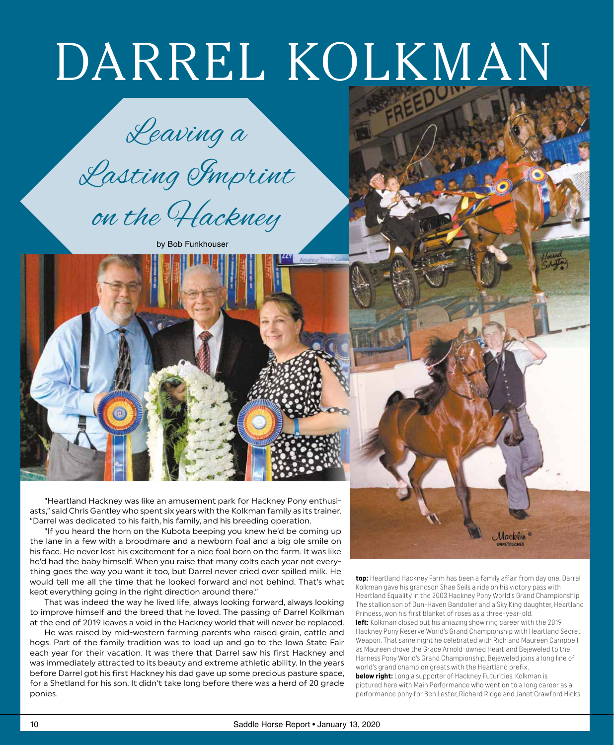Leaving a

Lasting Imprint

on the Hackney

by Bob Funkhouser



"Heartland Hackney was like an amusement park for Hackney Pony enthusiasts," said Chris Gantley who spent six years with the Kolkman family as its trainer. "Darrel was dedicated to his faith, his family, and his breeding operation.

"If you heard the horn on the Kubota beeping you knew he'd be coming up the lane in a few with a broodmare and a newborn foal and a big ole smile on his face. He never lost his excitement for a nice foal born on the farm. It was like he'd had the baby himself. When you raise that many colts each year not everything goes the way you want it too, but Darrel never cried over spilled milk. He would tell me all the time that he looked forward and not behind. That's what kept everything going in the right direction around there."

That was indeed the way he lived life, always looking forward, always looking to improve himself and the breed that he loved. The passing of Darrel Kolkman at the end of 2019 leaves a void in the Hackney world that will never be replaced.

He was raised by mid-western farming parents who raised grain, cattle and hogs. Part of the family tradition was to load up and go to the Iowa State Fair each year for their vacation. It was there that Darrel saw his first Hackney and was immediately attracted to its beauty and extreme athletic ability. In the years before Darrel got his first Hackney his dad gave up some precious pasture space, for a Shetland for his son. It didn't take long before there was a herd of 20 grade ponies.

**top:** Heartland Hackney Farm has been a family affair from day one. Darrel Kolkman gave his grandson Shae Seils a ride on his victory pass with Heartland Equality in the 2003 Hackney Pony World's Grand Championship. The stallion son of Dun-Haven Bandolier and a Sky King daughter, Heartland Princess, won his first blanket of roses as a three-year-old.

Macklin

**left:** Kolkman closed out his amazing show ring career with the 2019 Hackney Pony Reserve World's Grand Championship with Heartland Secret Weapon. That same night he celebrated with Rich and Maureen Campbell as Maureen drove the Grace Arnold-owned Heartland Bejeweled to the Harness Pony World's Grand Championship. Bejeweled joins a long line of world's grand champion greats with the Heartland prefix.

**below right:** Long a supporter of Hackney Futurities, Kolkman is pictured here with Main Performance who went on to a long career as a performance pony for Ben Lester, Richard Ridge and Janet Crawford Hicks.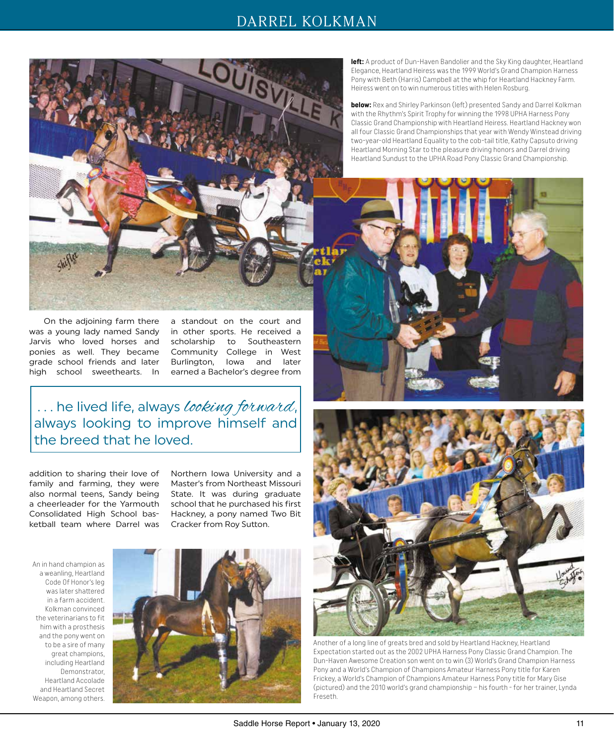

On the adjoining farm there was a young lady named Sandy Jarvis who loved horses and ponies as well. They became grade school friends and later high school sweethearts. In

a standout on the court and in other sports. He received a scholarship to Southeastern Community College in West Burlington, Iowa and later earned a Bachelor's degree from

... he lived life, always looking forward, always looking to improve himself and the breed that he loved.

addition to sharing their love of family and farming, they were also normal teens, Sandy being a cheerleader for the Yarmouth Consolidated High School basketball team where Darrel was

Northern Iowa University and a Master's from Northeast Missouri State. It was during graduate school that he purchased his first Hackney, a pony named Two Bit Cracker from Roy Sutton.

An in hand champion as a weanling, Heartland Code Of Honor's leg was later shattered in a farm accident. Kolkman convinced the veterinarians to fit him with a prosthesis and the pony went on to be a sire of many great champions, including Heartland Demonstrator, Heartland Accolade and Heartland Secret Weapon, among others.



**left:** A product of Dun-Haven Bandolier and the Sky King daughter, Heartland Elegance, Heartland Heiress was the 1999 World's Grand Champion Harness Pony with Beth (Harris) Campbell at the whip for Heartland Hackney Farm. Heiress went on to win numerous titles with Helen Rosburg.

**below:** Rex and Shirley Parkinson (left) presented Sandy and Darrel Kolkman with the Rhythm's Spirit Trophy for winning the 1998 UPHA Harness Pony Classic Grand Championship with Heartland Heiress. Heartland Hackney won all four Classic Grand Championships that year with Wendy Winstead driving two-year-old Heartland Equality to the cob-tail title, Kathy Capsuto driving Heartland Morning Star to the pleasure driving honors and Darrel driving Heartland Sundust to the UPHA Road Pony Classic Grand Championship.





Another of a long line of greats bred and sold by Heartland Hackney, Heartland Expectation started out as the 2002 UPHA Harness Pony Classic Grand Champion. The Dun-Haven Awesome Creation son went on to win (3) World's Grand Champion Harness Pony and a World's Champion of Champions Amateur Harness Pony title for Karen Frickey, a World's Champion of Champions Amateur Harness Pony title for Mary Gise (pictured) and the 2010 world's grand championship – his fourth - for her trainer, Lynda Freseth.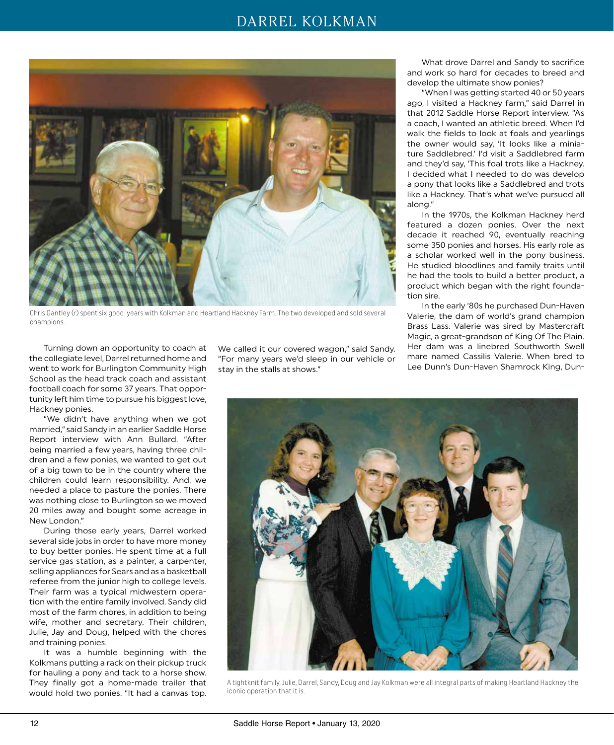

Chris Gantley (r) spent six good years with Kolkman and Heartland Hackney Farm. The two developed and sold several champions.

Turning down an opportunity to coach at the collegiate level, Darrel returned home and went to work for Burlington Community High School as the head track coach and assistant football coach for some 37 years. That opportunity left him time to pursue his biggest love, Hackney ponies.

"We didn't have anything when we got married," said Sandy in an earlier Saddle Horse Report interview with Ann Bullard. "After being married a few years, having three children and a few ponies, we wanted to get out of a big town to be in the country where the children could learn responsibility. And, we needed a place to pasture the ponies. There was nothing close to Burlington so we moved 20 miles away and bought some acreage in New London."

During those early years, Darrel worked several side jobs in order to have more money to buy better ponies. He spent time at a full service gas station, as a painter, a carpenter, selling appliances for Sears and as a basketball referee from the junior high to college levels. Their farm was a typical midwestern operation with the entire family involved. Sandy did most of the farm chores, in addition to being wife, mother and secretary. Their children, Julie, Jay and Doug, helped with the chores and training ponies.

It was a humble beginning with the Kolkmans putting a rack on their pickup truck for hauling a pony and tack to a horse show. They finally got a home-made trailer that would hold two ponies. "It had a canvas top.

We called it our covered wagon," said Sandy. "For many years we'd sleep in our vehicle or stay in the stalls at shows."

What drove Darrel and Sandy to sacrifice and work so hard for decades to breed and develop the ultimate show ponies?

"When I was getting started 40 or 50 years ago, I visited a Hackney farm," said Darrel in that 2012 Saddle Horse Report interview. "As a coach, I wanted an athletic breed. When I'd walk the fields to look at foals and yearlings the owner would say, 'It looks like a miniature Saddlebred.' I'd visit a Saddlebred farm and they'd say, 'This foal trots like a Hackney. I decided what I needed to do was develop a pony that looks like a Saddlebred and trots like a Hackney. That's what we've pursued all along."

In the 1970s, the Kolkman Hackney herd featured a dozen ponies. Over the next decade it reached 90, eventually reaching some 350 ponies and horses. His early role as a scholar worked well in the pony business. He studied bloodlines and family traits until he had the tools to build a better product, a product which began with the right foundation sire.

In the early '80s he purchased Dun-Haven Valerie, the dam of world's grand champion Brass Lass. Valerie was sired by Mastercraft Magic, a great-grandson of King Of The Plain. Her dam was a linebred Southworth Swell mare named Cassilis Valerie. When bred to Lee Dunn's Dun-Haven Shamrock King, Dun-



A tightknit family, Julie, Darrel, Sandy, Doug and Jay Kolkman were all integral parts of making Heartland Hackney the iconic operation that it is.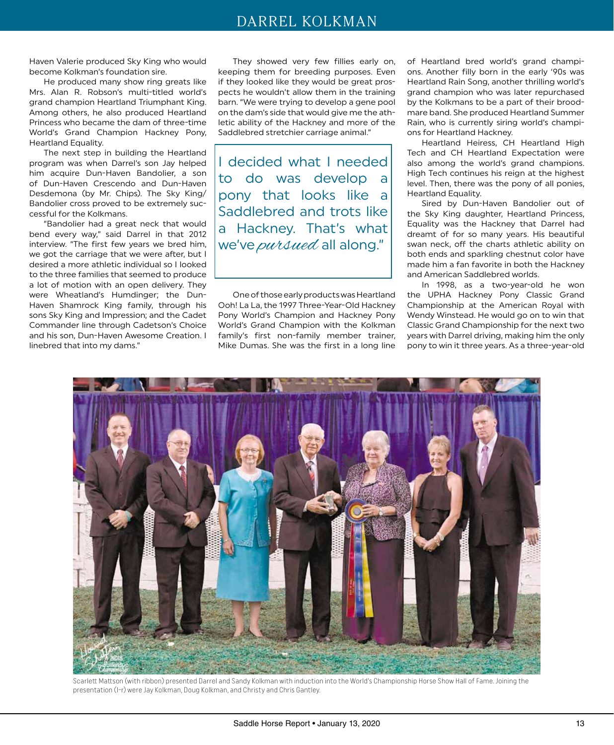Haven Valerie produced Sky King who would become Kolkman's foundation sire.

He produced many show ring greats like Mrs. Alan R. Robson's multi-titled world's grand champion Heartland Triumphant King. Among others, he also produced Heartland Princess who became the dam of three-time World's Grand Champion Hackney Pony, Heartland Equality.

The next step in building the Heartland program was when Darrel's son Jay helped him acquire Dun-Haven Bandolier, a son of Dun-Haven Crescendo and Dun-Haven Desdemona (by Mr. Chips). The Sky King/ Bandolier cross proved to be extremely successful for the Kolkmans.

"Bandolier had a great neck that would bend every way," said Darrel in that 2012 interview. "The first few years we bred him, we got the carriage that we were after, but I desired a more athletic individual so I looked to the three families that seemed to produce a lot of motion with an open delivery. They were Wheatland's Humdinger; the Dun-Haven Shamrock King family, through his sons Sky King and Impression; and the Cadet Commander line through Cadetson's Choice and his son, Dun-Haven Awesome Creation. I linebred that into my dams."

They showed very few fillies early on, keeping them for breeding purposes. Even if they looked like they would be great prospects he wouldn't allow them in the training barn. "We were trying to develop a gene pool on the dam's side that would give me the athletic ability of the Hackney and more of the Saddlebred stretchier carriage animal."

I decided what I needed to do was develop a pony that looks like a Saddlebred and trots like a Hackney. That's what we've pursued all along."

One of those early products was Heartland Ooh! La La, the 1997 Three-Year-Old Hackney Pony World's Champion and Hackney Pony World's Grand Champion with the Kolkman family's first non-family member trainer, Mike Dumas. She was the first in a long line of Heartland bred world's grand champions. Another filly born in the early '90s was Heartland Rain Song, another thrilling world's grand champion who was later repurchased by the Kolkmans to be a part of their broodmare band. She produced Heartland Summer Rain, who is currently siring world's champions for Heartland Hackney.

Heartland Heiress, CH Heartland High Tech and CH Heartland Expectation were also among the world's grand champions. High Tech continues his reign at the highest level. Then, there was the pony of all ponies, Heartland Equality.

Sired by Dun-Haven Bandolier out of the Sky King daughter, Heartland Princess, Equality was the Hackney that Darrel had dreamt of for so many years. His beautiful swan neck, off the charts athletic ability on both ends and sparkling chestnut color have made him a fan favorite in both the Hackney and American Saddlebred worlds.

In 1998, as a two-year-old he won the UPHA Hackney Pony Classic Grand Championship at the American Royal with Wendy Winstead. He would go on to win that Classic Grand Championship for the next two years with Darrel driving, making him the only pony to win it three years. As a three-year-old



Scarlett Mattson (with ribbon) presented Darrel and Sandy Kolkman with induction into the World's Championship Horse Show Hall of Fame. Joining the presentation (l-r) were Jay Kolkman, Doug Kolkman, and Christy and Chris Gantley.